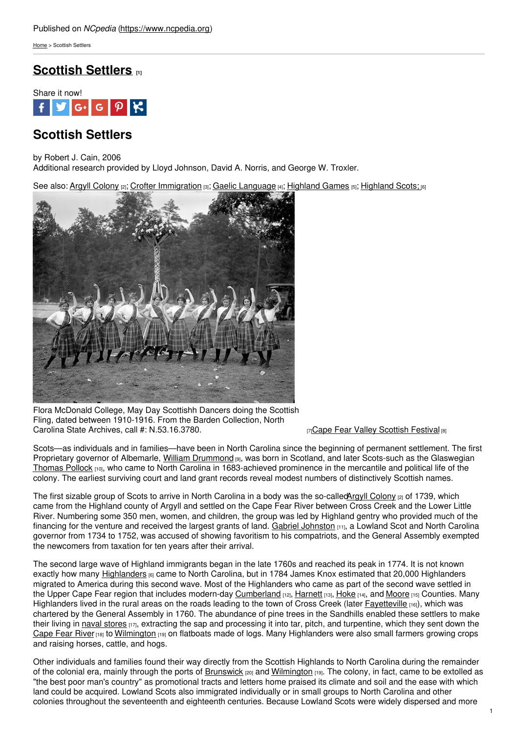[Home](https://www.ncpedia.org/) > Scottish Settlers

# **[Scottish](https://www.ncpedia.org/scottish-settlers) Settlers [1]**



# **Scottish Settlers**

by Robert J. Cain, 2006

Additional research provided by Lloyd Johnson, David A. Norris, and George W. Troxler.

See also: Argyll [Colony](https://www.ncpedia.org/argyll-colony) [2]; Crofter [Immigration](https://www.ncpedia.org/crofter-immigration) [3]; Gaelic [Language](https://www.ncpedia.org/gaelic-language) [4]; [Highland](https://www.ncpedia.org/highland-scots) Games [5]; Highland Scots; [6]



Flora McDonald College, May Day Scottishh Dancers doing the Scottish Fling, dated between 1910-1916. From the Barden Collection, North Carolina State Archives, call #: [N.53.16.3780.](https://www.flickr.com/photos/north-carolina-state-archives/2348111892/) **[7]**Cape Fear Valley [Scottish](https://www.ncpedia.org/cape-fear-valley-scottish-festival) Festival [8]

Scots—as individuals and in families—have been in North Carolina since the beginning of permanent settlement. The first Proprietary governor of Albemarle, William [Drummond](https://www.ncpedia.org/drummond-william-research-branch-nc) [9], was born in Scotland, and later Scots-such as the Glaswegian [Thomas](https://www.ncpedia.org/pollock-thomas) Pollock [10], who came to North Carolina in 1683-achieved prominence in the mercantile and political life of the colony. The earliest surviving court and land grant records reveal modest numbers of distinctively Scottish names.

The first sizable group of Scots to arrive in North Carolina in a body was the so-calledArgyll [Colony](https://www.ncpedia.org/argyll-colony) [2] of 1739, which came from the Highland county of Argyll and settled on the Cape Fear River between Cross Creek and the Lower Little River. Numbering some 350 men, women, and children, the group was led by Highland gentry who provided much of the financing for the venture and received the largest grants of land. Gabriel [Johnston](https://www.ncpedia.org/johnston-gabriel-research-branch-nc) [11], a Lowland Scot and North Carolina governor from 1734 to 1752, was accused of showing favoritism to his compatriots, and the General Assembly exempted the newcomers from taxation for ten years after their arrival.

The second large wave of Highland immigrants began in the late 1760s and reached its peak in 1774. It is not known exactly how many [Highlanders](https://www.ncpedia.org/highland-scots) [6] came to North Carolina, but in 1784 James Knox estimated that 20,000 Highlanders migrated to America during this second wave. Most of the Highlanders who came as part of the second wave settled in the Upper Cape Fear region that includes modern-day [Cumberland](https://www.ncpedia.org/geography/cumberland) [12], [Harnett](https://www.ncpedia.org/geography/harnett) [13], [Hoke](https://www.ncpedia.org/geography/hoke) [14], and [Moore](https://www.ncpedia.org/geography/moore) [15] Counties. Many Highlanders lived in the rural areas on the roads leading to the town of Cross Creek (later [Fayetteville](https://www.ncpedia.org/fayetteville-0) [16]), which was chartered by the General Assembly in 1760. The abundance of pine trees in the Sandhills enabled these settlers to make their living in naval [stores](https://www.ncpedia.org/naval-stores) [17], extracting the sap and processing it into tar, pitch, and turpentine, which they sent down the [Cape](https://www.ncpedia.org/rivers/cape-fear) Fear River [18] to [Wilmington](https://www.ncpedia.org/geography/wilmington) [19] on flatboats made of logs. Many Highlanders were also small farmers growing crops and raising horses, cattle, and hogs.

Other individuals and families found their way directly from the Scottish Highlands to North Carolina during the remainder of the colonial era, mainly through the ports of [Brunswick](https://www.ncpedia.org/brunswick-town) [20] and [Wilmington](https://www.ncpedia.org/geography/wilmington) [19]. The colony, in fact, came to be extolled as "the best poor man's country" as promotional tracts and letters home praised its climate and soil and the ease with which land could be acquired. Lowland Scots also immigrated individually or in small groups to North Carolina and other colonies throughout the seventeenth and eighteenth centuries. Because Lowland Scots were widely dispersed and more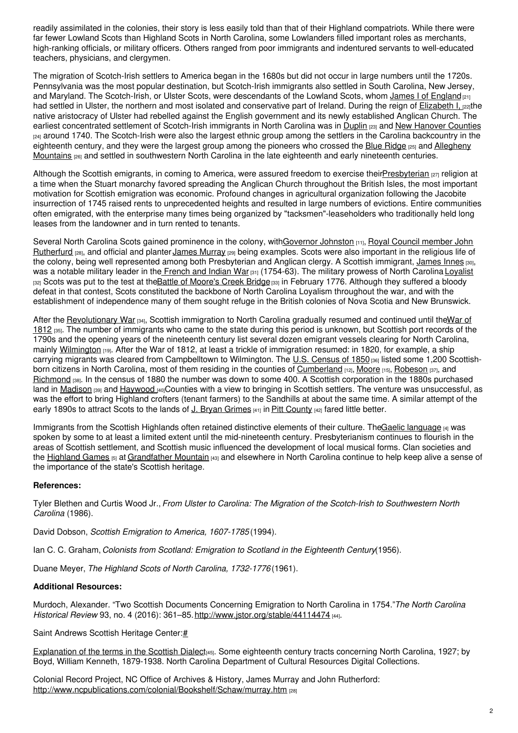readily assimilated in the colonies, their story is less easily told than that of their Highland compatriots. While there were far fewer Lowland Scots than Highland Scots in North Carolina, some Lowlanders filled important roles as merchants, high-ranking officials, or military officers. Others ranged from poor immigrants and indentured servants to well-educated teachers, physicians, and clergymen.

The migration of Scotch-Irish settlers to America began in the 1680s but did not occur in large numbers until the 1720s. Pennsylvania was the most popular destination, but Scotch-Irish immigrants also settled in South Carolina, New Jersey, and Maryland. The Scotch-Irish, or Ulster Scots, were descendants of the Lowland Scots, whom James I of [England](http://www.britannia.com/history/monarchs/mon46.html) [21] had settled in Ulster, the northern and most isolated and conservative part of Ireland. During the reign of **[Elizabeth](http://www.britannia.com/history/monarchs/mon45.html) I**, [22]the native aristocracy of Ulster had rebelled against the English government and its newly established Anglican Church. The earliest concentrated settlement of Scotch-Irish immigrants in North Carolina was in [Duplin](https://www.ncpedia.org/geography/duplin) [23] and New [Hanover](https://www.ncpedia.org/geography/new-hanover) Counties [24] around 1740. The Scotch-Irish were also the largest ethnic group among the settlers in the Carolina backcountry in the eighteenth century, and they were the largest group among the pioneers who crossed the Blue [Ridge](http://www.ncblueridge.com/) [25] and Allegheny Mountains [26] and settled in [southwestern](http://www.britannica.com/EBchecked/topic/16046/Allegheny-Mountains) North Carolina in the late eighteenth and early nineteenth centuries.

Although the Scottish emigrants, in coming to America, were assured freedom to exercise thei[rPresbyterian](https://www.ncpedia.org/presbyterian-church-0)  $_{[27]}$  religion at a time when the Stuart monarchy favored spreading the Anglican Church throughout the British Isles, the most important motivation for Scottish emigration was economic. Profound changes in agricultural organization following the Jacobite insurrection of 1745 raised rents to unprecedented heights and resulted in large numbers of evictions. Entire communities often emigrated, with the enterprise many times being organized by "tacksmen"-leaseholders who traditionally held long leases from the landowner and in turn rented to tenants.

Several North Carolina Scots gained prominence in the colony, [withG](http://www.ncpublications.com/colonial/Bookshelf/Schaw/murray.htm)[overnor](https://www.ncpedia.org/johnston-gabriel-research-branch-nc) Johnston [11], Royal Council member John Rutherfurd [28], and official and planter James [Murray](https://www.ncpedia.org/biography/murray-james) [29] being examples. Scots were also important in the religious life of the colony, being well represented among both Presbyterian and Anglican clergy. A Scottish immigrant, [James](https://www.ncdcr.gov/about/history/division-historical-resources/nc-highway-historical-marker-program/Markers.aspx?ct=ddl&sp=search&k=Markers&sv=D-90 - JAMES INNES ca. 1700-1759) Innes [30], was a notable military leader in the [French](https://www.ncpedia.org/french-and-indian-war-0) and Indian War [31] (1754-63). The military prowess of North Carolina [Loyalist](https://www.ncpedia.org/loyalists) [32] Scots was put to the test at the Battle of [Moore's](https://www.ncpedia.org/moores-creek-bridge-battle) Creek Bridge<sup>[33]</sup> in February 1776. Although they suffered a bloody defeat in that contest, Scots constituted the backbone of North Carolina Loyalism throughout the war, and with the establishment of independence many of them sought refuge in the British colonies of Nova Scotia and New Brunswick.

After the [Revolutionary](https://www.ncpedia.org/war-1812) War [34], Scottish immigration to North Carolina gradually resumed and continued until theWar of 1812 [35]. The number of immigrants who came to the state during this period is unknown, but Scottish port records of the 1790s and the opening years of the nineteenth century list several dozen emigrant vessels clearing for North Carolina, mainly [Wilmington](https://www.ncpedia.org/geography/wilmington) [19]. After the War of 1812, at least a trickle of immigration resumed: in 1820, for example, a ship carrying migrants was cleared from Campbelltown to Wilmington. The U.S. [Census](https://www.census.gov/prod/www/decennial.html) of 1850 [36] listed some 1,200 Scottish-born citizens in North Carolina, most of them residing in the counties of [Cumberland](https://www.ncpedia.org/geography/cumberland) [12], [Moore](https://www.ncpedia.org/geography/moore) [15], [Robeson](https://www.ncpedia.org/geography/robeson) [37], and [Richmond](https://www.ncpedia.org/geography/richmond) [38]. In the census of 1880 the number was down to some 400. A Scottish corporation in the 1880s purchased land in [Madison](https://www.ncpedia.org/geography/madison) [39] and [Haywood](https://www.ncpedia.org/geography/haywood-town) [40]Counties with a view to bringing in Scottish settlers. The venture was unsuccessful, as was the effort to bring Highland crofters (tenant farmers) to the Sandhills at about the same time. A similar attempt of the early 1890s to attract Scots to the lands of J. Bryan [Grimes](https://www.ncpedia.org/biography/grimes-john-bryan)  $\frac{41}{1}$  in Pitt [County](https://www.ncpedia.org/geography/pitt)  $\frac{42}{1}$  fared little better.

Immigrants from the Scottish Highlands often retained distinctive elements of their culture. TheGaelic [language](https://www.ncpedia.org/gaelic-language) [4] was spoken by some to at least a limited extent until the mid-nineteenth century. Presbyterianism continues to flourish in the areas of Scottish settlement, and Scottish music influenced the development of local musical forms. Clan societies and the [Highland](https://www.ncpedia.org/highland-games) Games [5] at [Grandfather](https://www.ncpedia.org/grandfather-mountain) Mountain [43] and elsewhere in North Carolina continue to help keep alive a sense of the importance of the state's Scottish heritage.

## **References:**

Tyler Blethen and Curtis Wood Jr., *From Ulster to Carolina: The Migration of the Scotch-Irish to Southwestern North Carolina* (1986).

David Dobson, *Scottish Emigration to America, 1607-1785* (1994).

Ian C. C. Graham, *Colonists from Scotland: Emigration to Scotland in the Eighteenth Century*(1956).

Duane Meyer, *The Highland Scots of North Carolina, 1732-1776* (1961).

## **Additional Resources:**

Murdoch, Alexander. "Two Scottish Documents Concerning Emigration to North Carolina in 1754."*The North Carolina Historical Review* 93, no. 4 (2016): 361–85.<http://www.jstor.org/stable/44114474> [44].

Saint Andrews Scottish Heritage Center:[#](https://www.ncpedia.org/scottish-settlers?page=0#)

[Explanation](http://digital.ncdcr.gov/cdm4/document.php?CISOROOT=/p249901coll22&CISOPTR=260270&REC=20) of the terms in the Scottish Dialect<sub>[45]</sub>. Some eighteenth century tracts concerning North Carolina, 1927; by Boyd, William Kenneth, 1879-1938. North Carolina Department of Cultural Resources Digital Collections.

Colonial Record Project, NC Office of Archives & History, James Murray and John Rutherford: <http://www.ncpublications.com/colonial/Bookshelf/Schaw/murray.htm> [28]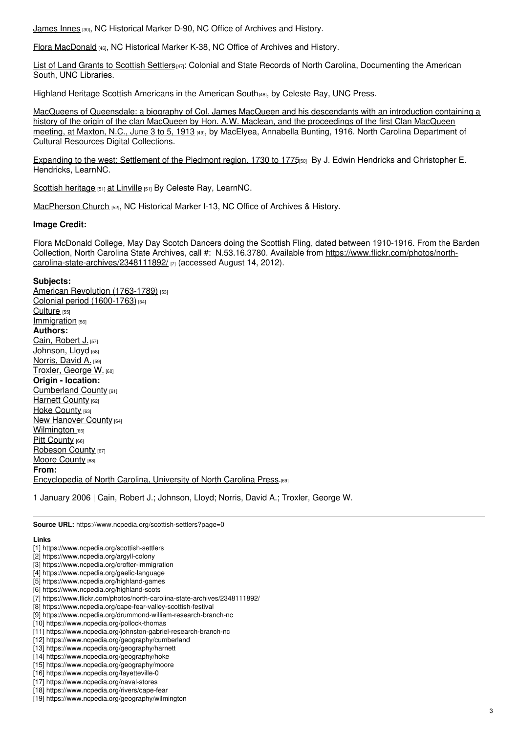[James](https://www.ncdcr.gov/about/history/division-historical-resources/nc-highway-historical-marker-program/Markers.aspx?ct=ddl&sp=search&k=Markers&sv=D-90 - JAMES INNES ca. 1700-1759) Innes [30], NC Historical Marker D-90, NC Office of Archives and History.

Flora [MacDonald](https://www.ncdcr.gov/about/history/division-historical-resources/nc-highway-historical-marker-program/Markers.aspx?ct=ddl&sp=search&k=Markers&sv=K-38 - FLORA MACDONALD) [46], NC Historical Marker K-38, NC Office of Archives and History.

List of Land Grants to [Scottish](https://docsouth.unc.edu/csr/index.html/document/csr07-0236) Settlers<sup>[47]</sup>: Colonial and State Records of North Carolina, Documenting the American South, UNC Libraries.

Highland Heritage Scottish [Americans](https://www.uncpress.org/book/9780807849132/highland-heritage/) in the American South[48], by Celeste Ray, UNC Press.

MacQueens of [Queensdale:](http://digital.ncdcr.gov/cdm4/document.php?CISOROOT=/p15012coll1&CISOPTR=17969&REC=20) a biography of Col. James MacQueen and his descendants with an introduction containing a history of the origin of the clan MacQueen by Hon. A.W. Maclean, and the proceedings of the first Clan MacQueen meeting, at Maxton, N.C., June 3 to 5, 1913 [49], by MacElyea, Annabella Bunting, 1916. North Carolina Department of Cultural Resources Digital Collections.

Expanding to the west: [Settlement](http://www.learnnc.org/lp/editions/nchist-colonial/2030) of the Piedmont region, 1730 to 1775<sub>[50]</sub> By J. Edwin Hendricks and Christopher E. Hendricks, LearnNC.

Scottish [heritage](http://www.learnnc.org/lp/editions/nchist-postwar/6851) [51] at [Linville](http://www.learnnc.org/lp/editions/nchist-postwar/6851) [51] By Celeste Ray, LearnNC.

[MacPherson](https://www.ncdcr.gov/about/history/division-historical-resources/nc-highway-historical-marker-program/Markers.aspx?ct=ddl&sp=search&k=Markers&sv=I-13 - MacPHERSON CHURCH) Church [52], NC Historical Marker I-13, NC Office of Archives & History.

### **Image Credit:**

Flora McDonald College, May Day Scotch Dancers doing the Scottish Fling, dated between 1910-1916. From the Barden Collection, North Carolina State Archives, call #: N.53.16.3780. Available from https://www.flickr.com/photos/north[carolina-state-archives/2348111892/](https://www.flickr.com/photos/north-carolina-state-archives/2348111892/) [7] (accessed August 14, 2012).

### **Subjects:**

American Revolution [\(1763-1789\)](https://www.ncpedia.org/category/subjects/us-revolution) [53] Colonial period [\(1600-1763\)](https://www.ncpedia.org/category/subjects/colonial-period) [54] [Culture](https://www.ncpedia.org/category/subjects/culture) [55] [Immigration](https://www.ncpedia.org/category/subjects/immigration) [56] **Authors:** Cain, [Robert](https://www.ncpedia.org/category/authors/cain-robert-j) J. [57] [Johnson,](https://www.ncpedia.org/category/authors/johnson-lloyd) Lloyd [58] [Norris,](https://www.ncpedia.org/category/authors/norris-david) David A. [59] [Troxler,](https://www.ncpedia.org/category/authors/troxler-george-w) George W. [60] **Origin - location:** [Cumberland](https://www.ncpedia.org/category/origin-location/coastal--4) County [61] [Harnett](https://www.ncpedia.org/category/origin-location/harnett-co) County [62] Hoke [County](https://www.ncpedia.org/category/origin-location/coastal--3) [63] New [Hanover](https://www.ncpedia.org/category/origin-location/coastal--7) County [64] [Wilmington](https://www.ncpedia.org/category/origin-location/coastal-39) [65] Pitt [County](https://www.ncpedia.org/category/origin-location/coastal-21) [66] [Robeson](https://www.ncpedia.org/category/origin-location/coastal--1) County [67] Moore [County](https://www.ncpedia.org/category/origin-location/piedmon-29) [68] **From:** [Encyclopedia](https://www.ncpedia.org/category/entry-source/encyclopedia-) of North Carolina, University of North Carolina Press.[69]

1 January 2006 | Cain, Robert J.; Johnson, Lloyd; Norris, David A.; Troxler, George W.

**Source URL:** https://www.ncpedia.org/scottish-settlers?page=0

#### **Links**

[1] https://www.ncpedia.org/scottish-settlers

- [2] https://www.ncpedia.org/argyll-colony
- [3] https://www.ncpedia.org/crofter-immigration
- [4] https://www.ncpedia.org/gaelic-language
- [5] https://www.ncpedia.org/highland-games
- [6] https://www.ncpedia.org/highland-scots
- [7] https://www.flickr.com/photos/north-carolina-state-archives/2348111892/
- [8] https://www.ncpedia.org/cape-fear-valley-scottish-festival

- [10] https://www.ncpedia.org/pollock-thomas
- [11] https://www.ncpedia.org/johnston-gabriel-research-branch-nc
- [12] https://www.ncpedia.org/geography/cumberland
- [13] https://www.ncpedia.org/geography/harnett
- [14] https://www.ncpedia.org/geography/hoke
- [15] https://www.ncpedia.org/geography/moore
- [16] https://www.ncpedia.org/fayetteville-0
- [17] https://www.ncpedia.org/naval-stores
- [18] https://www.ncpedia.org/rivers/cape-fear [19] https://www.ncpedia.org/geography/wilmington

3

<sup>[9]</sup> https://www.ncpedia.org/drummond-william-research-branch-nc